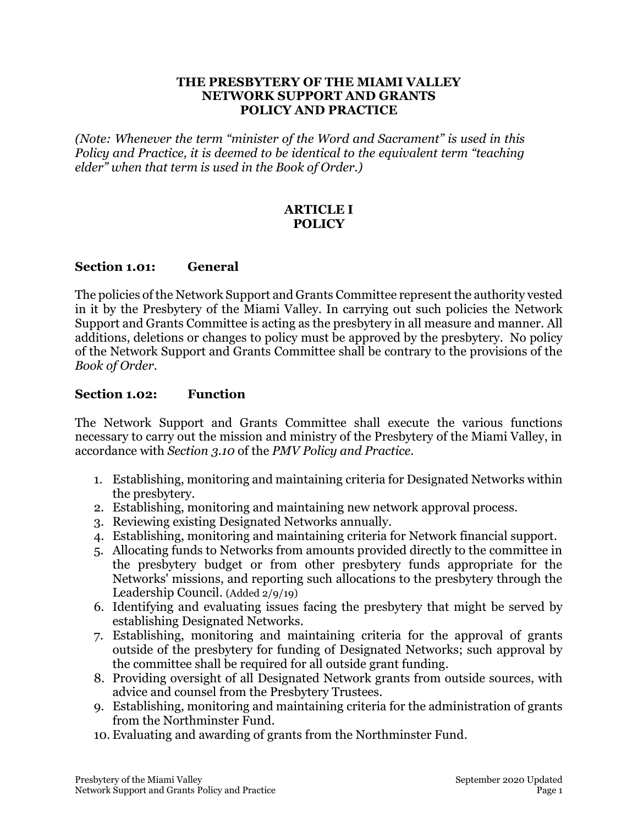#### **THE PRESBYTERY OF THE MIAMI VALLEY NETWORK SUPPORT AND GRANTS POLICY AND PRACTICE**

*(Note: Whenever the term "minister of the Word and Sacrament" is used in this Policy and Practice, it is deemed to be identical to the equivalent term "teaching elder" when that term is used in the Book of Order.)*

## **ARTICLE I POLICY**

### **Section 1.01: General**

The policies of the Network Support and Grants Committee represent the authority vested in it by the Presbytery of the Miami Valley. In carrying out such policies the Network Support and Grants Committee is acting as the presbytery in all measure and manner. All additions, deletions or changes to policy must be approved by the presbytery. No policy of the Network Support and Grants Committee shall be contrary to the provisions of the *Book of Order*.

### **Section 1.02: Function**

The Network Support and Grants Committee shall execute the various functions necessary to carry out the mission and ministry of the Presbytery of the Miami Valley, in accordance with *Section 3.10* of the *PMV Policy and Practice*.

- 1. Establishing, monitoring and maintaining criteria for Designated Networks within the presbytery.
- 2. Establishing, monitoring and maintaining new network approval process.
- 3. Reviewing existing Designated Networks annually.
- 4. Establishing, monitoring and maintaining criteria for Network financial support.
- 5. Allocating funds to Networks from amounts provided directly to the committee in the presbytery budget or from other presbytery funds appropriate for the Networks' missions, and reporting such allocations to the presbytery through the Leadership Council. (Added 2/9/19)
- 6. Identifying and evaluating issues facing the presbytery that might be served by establishing Designated Networks.
- 7. Establishing, monitoring and maintaining criteria for the approval of grants outside of the presbytery for funding of Designated Networks; such approval by the committee shall be required for all outside grant funding.
- 8. Providing oversight of all Designated Network grants from outside sources, with advice and counsel from the Presbytery Trustees.
- 9. Establishing, monitoring and maintaining criteria for the administration of grants from the Northminster Fund.
- 10. Evaluating and awarding of grants from the Northminster Fund.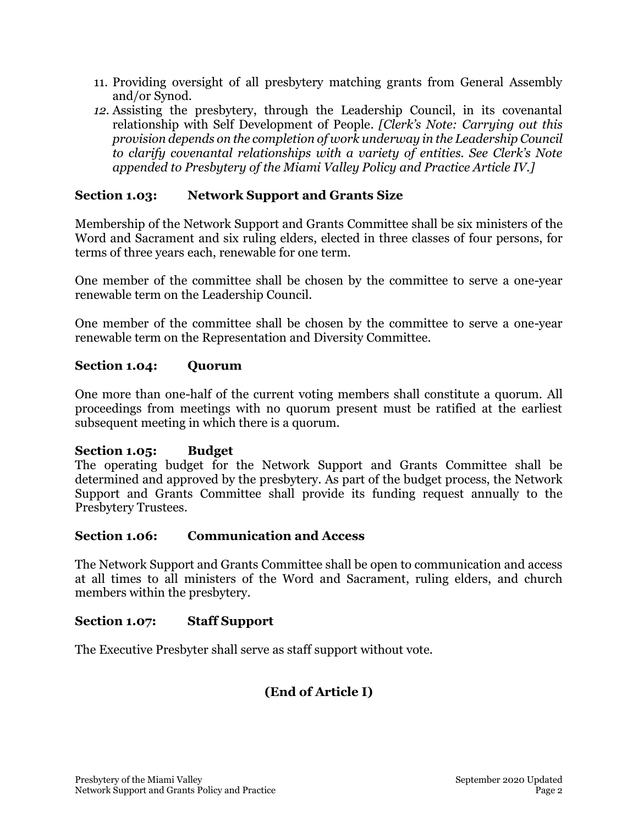- 11. Providing oversight of all presbytery matching grants from General Assembly and/or Synod.
- *12.* Assisting the presbytery, through the Leadership Council, in its covenantal relationship with Self Development of People. *[Clerk's Note: Carrying out this provision depends on the completion of work underway in the Leadership Council to clarify covenantal relationships with a variety of entities. See Clerk's Note appended to Presbytery of the Miami Valley Policy and Practice Article IV.]*

## **Section 1.03: Network Support and Grants Size**

Membership of the Network Support and Grants Committee shall be six ministers of the Word and Sacrament and six ruling elders, elected in three classes of four persons, for terms of three years each, renewable for one term.

One member of the committee shall be chosen by the committee to serve a one-year renewable term on the Leadership Council.

One member of the committee shall be chosen by the committee to serve a one-year renewable term on the Representation and Diversity Committee.

### **Section 1.04: Quorum**

One more than one-half of the current voting members shall constitute a quorum. All proceedings from meetings with no quorum present must be ratified at the earliest subsequent meeting in which there is a quorum.

### **Section 1.05: Budget**

The operating budget for the Network Support and Grants Committee shall be determined and approved by the presbytery. As part of the budget process, the Network Support and Grants Committee shall provide its funding request annually to the Presbytery Trustees.

#### **Section 1.06: Communication and Access**

The Network Support and Grants Committee shall be open to communication and access at all times to all ministers of the Word and Sacrament, ruling elders, and church members within the presbytery.

#### **Section 1.07: Staff Support**

The Executive Presbyter shall serve as staff support without vote.

## **(End of Article I)**